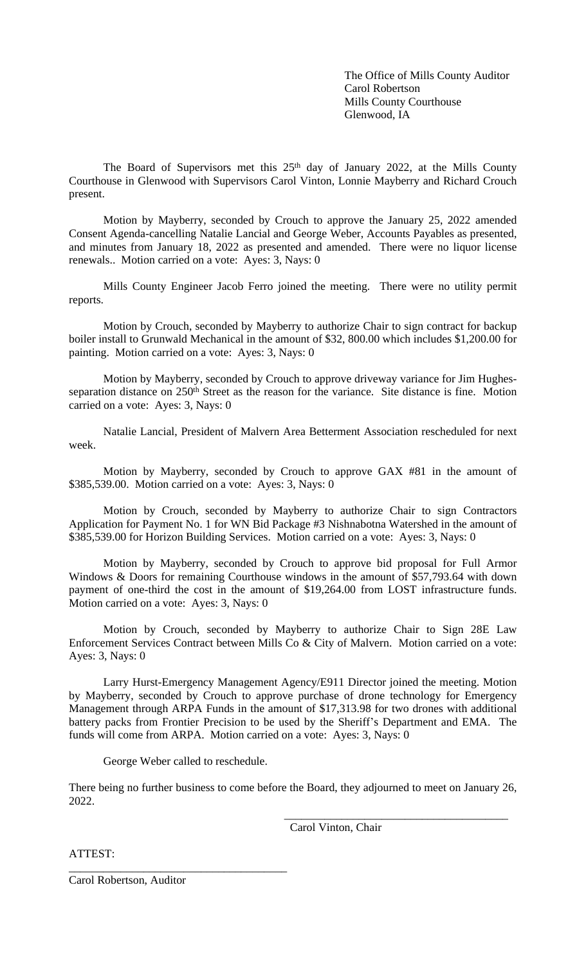The Office of Mills County Auditor Carol Robertson Mills County Courthouse Glenwood, IA

The Board of Supervisors met this 25<sup>th</sup> day of January 2022, at the Mills County Courthouse in Glenwood with Supervisors Carol Vinton, Lonnie Mayberry and Richard Crouch present.

Motion by Mayberry, seconded by Crouch to approve the January 25, 2022 amended Consent Agenda-cancelling Natalie Lancial and George Weber, Accounts Payables as presented, and minutes from January 18, 2022 as presented and amended. There were no liquor license renewals.. Motion carried on a vote: Ayes: 3, Nays: 0

Mills County Engineer Jacob Ferro joined the meeting. There were no utility permit reports.

Motion by Crouch, seconded by Mayberry to authorize Chair to sign contract for backup boiler install to Grunwald Mechanical in the amount of \$32, 800.00 which includes \$1,200.00 for painting. Motion carried on a vote: Ayes: 3, Nays: 0

Motion by Mayberry, seconded by Crouch to approve driveway variance for Jim Hughesseparation distance on 250<sup>th</sup> Street as the reason for the variance. Site distance is fine. Motion carried on a vote: Ayes: 3, Nays: 0

Natalie Lancial, President of Malvern Area Betterment Association rescheduled for next week.

Motion by Mayberry, seconded by Crouch to approve GAX #81 in the amount of \$385,539.00. Motion carried on a vote: Ayes: 3, Nays: 0

Motion by Crouch, seconded by Mayberry to authorize Chair to sign Contractors Application for Payment No. 1 for WN Bid Package #3 Nishnabotna Watershed in the amount of \$385,539.00 for Horizon Building Services. Motion carried on a vote: Ayes: 3, Nays: 0

Motion by Mayberry, seconded by Crouch to approve bid proposal for Full Armor Windows & Doors for remaining Courthouse windows in the amount of \$57,793.64 with down payment of one-third the cost in the amount of \$19,264.00 from LOST infrastructure funds. Motion carried on a vote: Ayes: 3, Nays: 0

Motion by Crouch, seconded by Mayberry to authorize Chair to Sign 28E Law Enforcement Services Contract between Mills Co & City of Malvern. Motion carried on a vote: Ayes: 3, Nays: 0

Larry Hurst-Emergency Management Agency/E911 Director joined the meeting. Motion by Mayberry, seconded by Crouch to approve purchase of drone technology for Emergency Management through ARPA Funds in the amount of \$17,313.98 for two drones with additional battery packs from Frontier Precision to be used by the Sheriff's Department and EMA. The funds will come from ARPA. Motion carried on a vote: Ayes: 3, Nays: 0

George Weber called to reschedule.

\_\_\_\_\_\_\_\_\_\_\_\_\_\_\_\_\_\_\_\_\_\_\_\_\_\_\_\_\_\_\_\_\_\_\_\_\_\_

There being no further business to come before the Board, they adjourned to meet on January 26, 2022.

Carol Vinton, Chair

\_\_\_\_\_\_\_\_\_\_\_\_\_\_\_\_\_\_\_\_\_\_\_\_\_\_\_\_\_\_\_\_\_\_\_\_\_\_\_

ATTEST:

Carol Robertson, Auditor